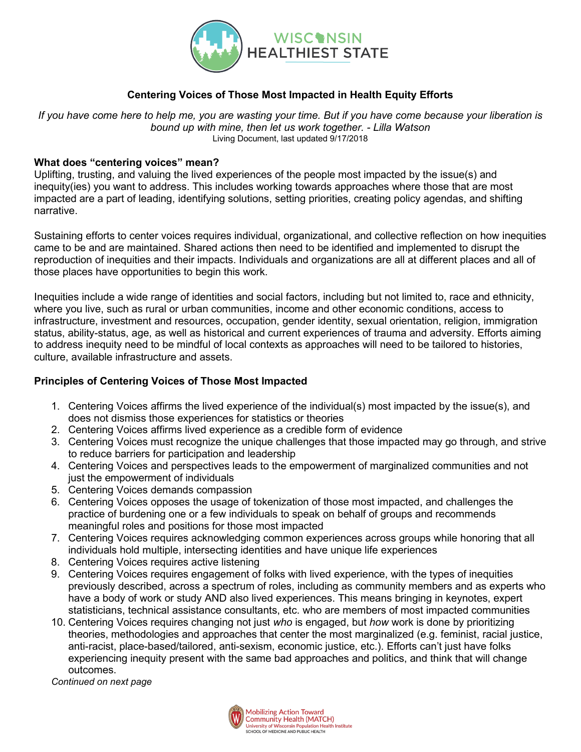

## **Centering Voices of Those Most Impacted in Health Equity Efforts**

*If you have come here to help me, you are wasting your time. But if you have come because your liberation is bound up with mine, then let us work together. - Lilla Watson* Living Document, last updated 9/17/2018

## **What does "centering voices" mean?**

Uplifting, trusting, and valuing the lived experiences of the people most impacted by the issue(s) and inequity(ies) you want to address. This includes working towards approaches where those that are most impacted are a part of leading, identifying solutions, setting priorities, creating policy agendas, and shifting narrative.

Sustaining efforts to center voices requires individual, organizational, and collective reflection on how inequities came to be and are maintained. Shared actions then need to be identified and implemented to disrupt the reproduction of inequities and their impacts. Individuals and organizations are all at different places and all of those places have opportunities to begin this work.

Inequities include a wide range of identities and social factors, including but not limited to, race and ethnicity, where you live, such as rural or urban communities, income and other economic conditions, access to infrastructure, investment and resources, occupation, gender identity, sexual orientation, religion, immigration status, ability-status, age, as well as historical and current experiences of trauma and adversity. Efforts aiming to address inequity need to be mindful of local contexts as approaches will need to be tailored to histories, culture, available infrastructure and assets.

## **Principles of Centering Voices of Those Most Impacted**

- 1. Centering Voices affirms the lived experience of the individual(s) most impacted by the issue(s), and does not dismiss those experiences for statistics or theories
- 2. Centering Voices affirms lived experience as a credible form of evidence
- 3. Centering Voices must recognize the unique challenges that those impacted may go through, and strive to reduce barriers for participation and leadership
- 4. Centering Voices and perspectives leads to the empowerment of marginalized communities and not just the empowerment of individuals
- 5. Centering Voices demands compassion
- 6. Centering Voices opposes the usage of tokenization of those most impacted, and challenges the practice of burdening one or a few individuals to speak on behalf of groups and recommends meaningful roles and positions for those most impacted
- 7. Centering Voices requires acknowledging common experiences across groups while honoring that all individuals hold multiple, intersecting identities and have unique life experiences
- 8. Centering Voices requires active listening
- 9. Centering Voices requires engagement of folks with lived experience, with the types of inequities previously described, across a spectrum of roles, including as community members and as experts who have a body of work or study AND also lived experiences. This means bringing in keynotes, expert statisticians, technical assistance consultants, etc. who are members of most impacted communities
- 10. Centering Voices requires changing not just *who* is engaged, but *how* work is done by prioritizing theories, methodologies and approaches that center the most marginalized (e.g. feminist, racial justice, anti-racist, place-based/tailored, anti-sexism, economic justice, etc.). Efforts can't just have folks experiencing inequity present with the same bad approaches and politics, and think that will change outcomes.

*Continued on next page*